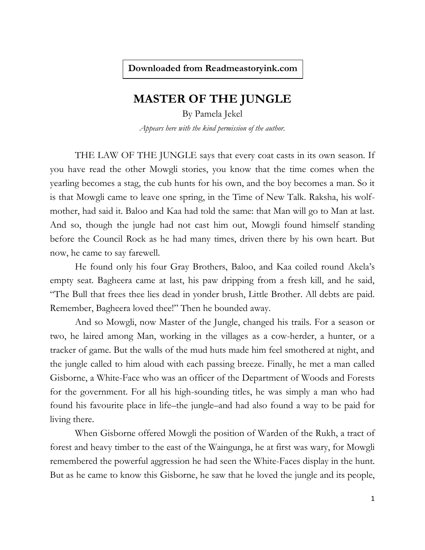## **MASTER OF THE JUNGLE**

By Pamela Jekel *Appears here with the kind permission of the author.*

THE LAW OF THE JUNGLE says that every coat casts in its own season. If you have read the other Mowgli stories, you know that the time comes when the yearling becomes a stag, the cub hunts for his own, and the boy becomes a man. So it is that Mowgli came to leave one spring, in the Time of New Talk. Raksha, his wolfmother, had said it. Baloo and Kaa had told the same: that Man will go to Man at last. And so, though the jungle had not cast him out, Mowgli found himself standing before the Council Rock as he had many times, driven there by his own heart. But now, he came to say farewell.

He found only his four Gray Brothers, Baloo, and Kaa coiled round Akela's empty seat. Bagheera came at last, his paw dripping from a fresh kill, and he said, "The Bull that frees thee lies dead in yonder brush, Little Brother. All debts are paid. Remember, Bagheera loved thee!" Then he bounded away.

And so Mowgli, now Master of the Jungle, changed his trails. For a season or two, he laired among Man, working in the villages as a cow-herder, a hunter, or a tracker of game. But the walls of the mud huts made him feel smothered at night, and the jungle called to him aloud with each passing breeze. Finally, he met a man called Gisborne, a White-Face who was an officer of the Department of Woods and Forests for the government. For all his high-sounding titles, he was simply a man who had found his favourite place in life–the jungle–and had also found a way to be paid for living there.

When Gisborne offered Mowgli the position of Warden of the Rukh, a tract of forest and heavy timber to the east of the Waingunga, he at first was wary, for Mowgli remembered the powerful aggression he had seen the White-Faces display in the hunt. But as he came to know this Gisborne, he saw that he loved the jungle and its people,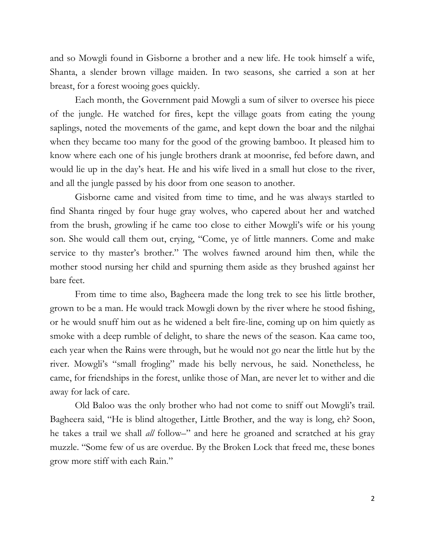and so Mowgli found in Gisborne a brother and a new life. He took himself a wife, Shanta, a slender brown village maiden. In two seasons, she carried a son at her breast, for a forest wooing goes quickly.

Each month, the Government paid Mowgli a sum of silver to oversee his piece of the jungle. He watched for fires, kept the village goats from eating the young saplings, noted the movements of the game, and kept down the boar and the nilghai when they became too many for the good of the growing bamboo. It pleased him to know where each one of his jungle brothers drank at moonrise, fed before dawn, and would lie up in the day's heat. He and his wife lived in a small hut close to the river, and all the jungle passed by his door from one season to another.

Gisborne came and visited from time to time, and he was always startled to find Shanta ringed by four huge gray wolves, who capered about her and watched from the brush, growling if he came too close to either Mowgli's wife or his young son. She would call them out, crying, "Come, ye of little manners. Come and make service to thy master's brother." The wolves fawned around him then, while the mother stood nursing her child and spurning them aside as they brushed against her bare feet.

From time to time also, Bagheera made the long trek to see his little brother, grown to be a man. He would track Mowgli down by the river where he stood fishing, or he would snuff him out as he widened a belt fire-line, coming up on him quietly as smoke with a deep rumble of delight, to share the news of the season. Kaa came too, each year when the Rains were through, but he would not go near the little hut by the river. Mowgli's "small frogling" made his belly nervous, he said. Nonetheless, he came, for friendships in the forest, unlike those of Man, are never let to wither and die away for lack of care.

Old Baloo was the only brother who had not come to sniff out Mowgli's trail. Bagheera said, "He is blind altogether, Little Brother, and the way is long, eh? Soon, he takes a trail we shall *all* follow–" and here he groaned and scratched at his gray muzzle. "Some few of us are overdue. By the Broken Lock that freed me, these bones grow more stiff with each Rain."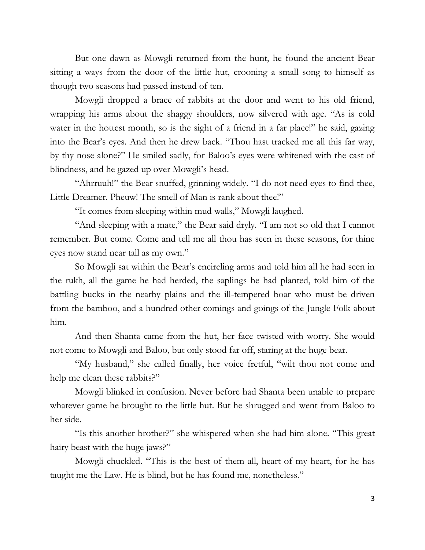But one dawn as Mowgli returned from the hunt, he found the ancient Bear sitting a ways from the door of the little hut, crooning a small song to himself as though two seasons had passed instead of ten.

Mowgli dropped a brace of rabbits at the door and went to his old friend, wrapping his arms about the shaggy shoulders, now silvered with age. "As is cold water in the hottest month, so is the sight of a friend in a far place!" he said, gazing into the Bear's eyes. And then he drew back. "Thou hast tracked me all this far way, by thy nose alone?" He smiled sadly, for Baloo's eyes were whitened with the cast of blindness, and he gazed up over Mowgli's head.

"Ahrruuh!" the Bear snuffed, grinning widely. "I do not need eyes to find thee, Little Dreamer. Pheuw! The smell of Man is rank about thee!"

"It comes from sleeping within mud walls," Mowgli laughed.

"And sleeping with a mate," the Bear said dryly. "I am not so old that I cannot remember. But come. Come and tell me all thou has seen in these seasons, for thine eyes now stand near tall as my own."

So Mowgli sat within the Bear's encircling arms and told him all he had seen in the rukh, all the game he had herded, the saplings he had planted, told him of the battling bucks in the nearby plains and the ill-tempered boar who must be driven from the bamboo, and a hundred other comings and goings of the Jungle Folk about him.

And then Shanta came from the hut, her face twisted with worry. She would not come to Mowgli and Baloo, but only stood far off, staring at the huge bear.

"My husband," she called finally, her voice fretful, "wilt thou not come and help me clean these rabbits?"

Mowgli blinked in confusion. Never before had Shanta been unable to prepare whatever game he brought to the little hut. But he shrugged and went from Baloo to her side.

"Is this another brother?" she whispered when she had him alone. "This great hairy beast with the huge jaws?"

Mowgli chuckled. "This is the best of them all, heart of my heart, for he has taught me the Law. He is blind, but he has found me, nonetheless."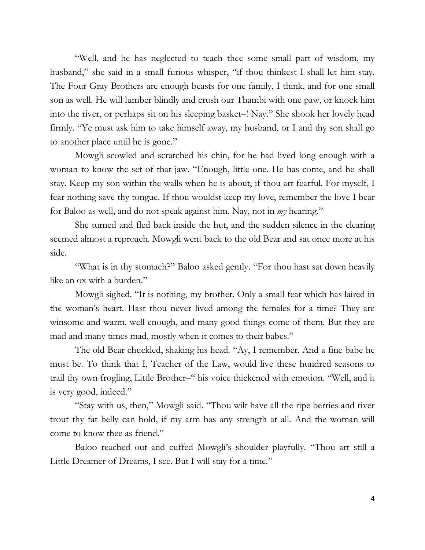"Well, and he has neglected to teach thee some small part of wisdom, my husband," she said in a small furious whisper, "if thou thinkest I shall let him stay. The Four Gray Brothers are enough beasts for one family, I think, and for one small son as well. He will lumber blindly and crush our Thambi with one paw, or knock him into the river, or perhaps sit on his sleeping basket–! Nay." She shook her lovely head firmly. "Ye must ask him to take himself away, my husband, or I and thy son shall go to another place until he is gone."

Mowgli scowled and scratched his chin, for he had lived long enough with a woman to know the set of that jaw. "Enough, little one. He has come, and he shall stay. Keep my son within the walls when he is about, if thou art fearful. For myself, I fear nothing save thy tongue. If thou wouldst keep my love, remember the love I bear for Baloo as well, and do not speak against him. Nay, not in *my* hearing."

She turned and fled back inside the hut, and the sudden silence in the clearing seemed almost a reproach. Mowgli went back to the old Bear and sat once more at his side.

"What is in thy stomach?" Baloo asked gently. "For thou hast sat down heavily like an ox with a burden."

Mowgli sighed. "It is nothing, my brother. Only a small fear which has laired in the woman's heart. Hast thou never lived among the females for a time? They are winsome and warm, well enough, and many good things come of them. But they are mad and many times mad, mostly when it comes to their babes."

The old Bear chuckled, shaking his head. "Ay, I remember. And a fine babe he must be. To think that I, Teacher of the Law, would live these hundred seasons to trail thy own frogling, Little Brother–" his voice thickened with emotion. "Well, and it is very good, indeed."

"Stay with us, then," Mowgli said. "Thou wilt have all the ripe berries and river trout thy fat belly can hold, if my arm has any strength at all. And the woman will come to know thee as friend."

Baloo reached out and cuffed Mowgli's shoulder playfully. "Thou art still a Little Dreamer of Dreams, I see. But I will stay for a time."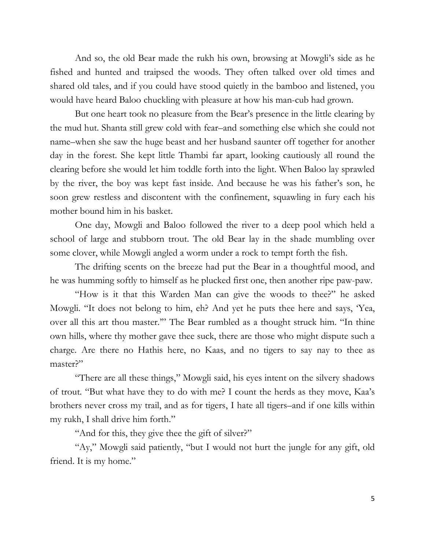And so, the old Bear made the rukh his own, browsing at Mowgli's side as he fished and hunted and traipsed the woods. They often talked over old times and shared old tales, and if you could have stood quietly in the bamboo and listened, you would have heard Baloo chuckling with pleasure at how his man-cub had grown.

But one heart took no pleasure from the Bear's presence in the little clearing by the mud hut. Shanta still grew cold with fear–and something else which she could not name–when she saw the huge beast and her husband saunter off together for another day in the forest. She kept little Thambi far apart, looking cautiously all round the clearing before she would let him toddle forth into the light. When Baloo lay sprawled by the river, the boy was kept fast inside. And because he was his father's son, he soon grew restless and discontent with the confinement, squawling in fury each his mother bound him in his basket.

One day, Mowgli and Baloo followed the river to a deep pool which held a school of large and stubborn trout. The old Bear lay in the shade mumbling over some clover, while Mowgli angled a worm under a rock to tempt forth the fish.

The drifting scents on the breeze had put the Bear in a thoughtful mood, and he was humming softly to himself as he plucked first one, then another ripe paw-paw.

"How is it that this Warden Man can give the woods to thee?" he asked Mowgli. "It does not belong to him, eh? And yet he puts thee here and says, 'Yea, over all this art thou master.'" The Bear rumbled as a thought struck him. "In thine own hills, where thy mother gave thee suck, there are those who might dispute such a charge. Are there no Hathis here, no Kaas, and no tigers to say nay to thee as master?"

"There are all these things," Mowgli said, his eyes intent on the silvery shadows of trout. "But what have they to do with me? I count the herds as they move, Kaa's brothers never cross my trail, and as for tigers, I hate all tigers–and if one kills within my rukh, I shall drive him forth."

"And for this, they give thee the gift of silver?"

"Ay," Mowgli said patiently, "but I would not hurt the jungle for any gift, old friend. It is my home."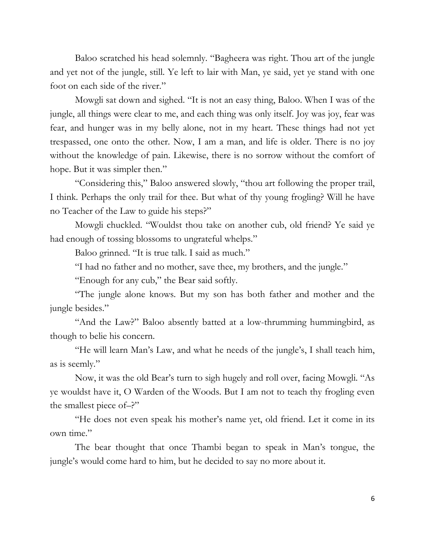Baloo scratched his head solemnly. "Bagheera was right. Thou art of the jungle and yet not of the jungle, still. Ye left to lair with Man, ye said, yet ye stand with one foot on each side of the river."

Mowgli sat down and sighed. "It is not an easy thing, Baloo. When I was of the jungle, all things were clear to me, and each thing was only itself. Joy was joy, fear was fear, and hunger was in my belly alone, not in my heart. These things had not yet trespassed, one onto the other. Now, I am a man, and life is older. There is no joy without the knowledge of pain. Likewise, there is no sorrow without the comfort of hope. But it was simpler then."

"Considering this," Baloo answered slowly, "thou art following the proper trail, I think. Perhaps the only trail for thee. But what of thy young frogling? Will he have no Teacher of the Law to guide his steps?"

Mowgli chuckled. "Wouldst thou take on another cub, old friend? Ye said ye had enough of tossing blossoms to ungrateful whelps."

Baloo grinned. "It is true talk. I said as much."

"I had no father and no mother, save thee, my brothers, and the jungle."

"Enough for any cub," the Bear said softly.

"The jungle alone knows. But my son has both father and mother and the jungle besides."

"And the Law?" Baloo absently batted at a low-thrumming hummingbird, as though to belie his concern.

"He will learn Man's Law, and what he needs of the jungle's, I shall teach him, as is seemly."

Now, it was the old Bear's turn to sigh hugely and roll over, facing Mowgli. "As ye wouldst have it, O Warden of the Woods. But I am not to teach thy frogling even the smallest piece of–?"

"He does not even speak his mother's name yet, old friend. Let it come in its own time."

The bear thought that once Thambi began to speak in Man's tongue, the jungle's would come hard to him, but he decided to say no more about it.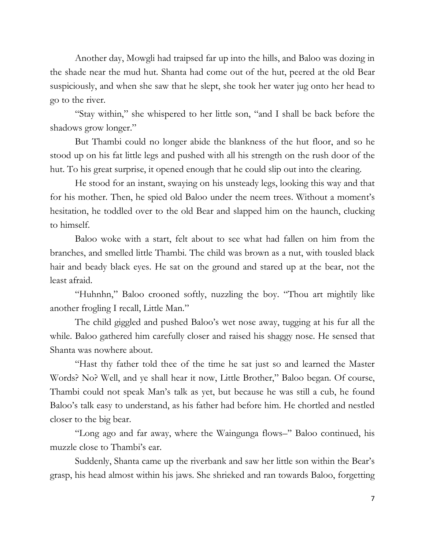Another day, Mowgli had traipsed far up into the hills, and Baloo was dozing in the shade near the mud hut. Shanta had come out of the hut, peered at the old Bear suspiciously, and when she saw that he slept, she took her water jug onto her head to go to the river.

"Stay within," she whispered to her little son, "and I shall be back before the shadows grow longer."

But Thambi could no longer abide the blankness of the hut floor, and so he stood up on his fat little legs and pushed with all his strength on the rush door of the hut. To his great surprise, it opened enough that he could slip out into the clearing.

He stood for an instant, swaying on his unsteady legs, looking this way and that for his mother. Then, he spied old Baloo under the neem trees. Without a moment's hesitation, he toddled over to the old Bear and slapped him on the haunch, clucking to himself.

Baloo woke with a start, felt about to see what had fallen on him from the branches, and smelled little Thambi. The child was brown as a nut, with tousled black hair and beady black eyes. He sat on the ground and stared up at the bear, not the least afraid.

"Huhnhn," Baloo crooned softly, nuzzling the boy. "Thou art mightily like another frogling I recall, Little Man."

The child giggled and pushed Baloo's wet nose away, tugging at his fur all the while. Baloo gathered him carefully closer and raised his shaggy nose. He sensed that Shanta was nowhere about.

"Hast thy father told thee of the time he sat just so and learned the Master Words? No? Well, and ye shall hear it now, Little Brother," Baloo began. Of course, Thambi could not speak Man's talk as yet, but because he was still a cub, he found Baloo's talk easy to understand, as his father had before him. He chortled and nestled closer to the big bear.

"Long ago and far away, where the Waingunga flows–'' Baloo continued, his muzzle close to Thambi's ear.

Suddenly, Shanta came up the riverbank and saw her little son within the Bear's grasp, his head almost within his jaws. She shrieked and ran towards Baloo, forgetting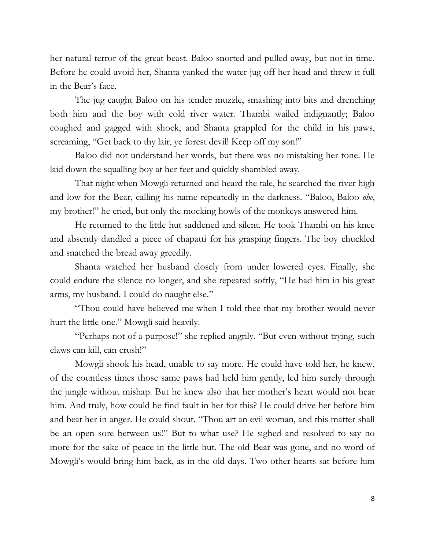her natural terror of the great beast. Baloo snorted and pulled away, but not in time. Before he could avoid her, Shanta yanked the water jug off her head and threw it full in the Bear's face.

The jug caught Baloo on his tender muzzle, smashing into bits and drenching both him and the boy with cold river water. Thambi wailed indignantly; Baloo coughed and gagged with shock, and Shanta grappled for the child in his paws, screaming, "Get back to thy lair, ye forest devil! Keep off my son!"

Baloo did not understand her words, but there was no mistaking her tone. He laid down the squalling boy at her feet and quickly shambled away.

That night when Mowgli returned and heard the tale, he searched the river high and low for the Bear, calling his name repeatedly in the darkness. "Baloo, Baloo *ohe*, my brother!" he cried, but only the mocking howls of the monkeys answered him.

He returned to the little hut saddened and silent. He took Thambi on his knee and absently dandled a piece of chapatti for his grasping fingers. The boy chuckled and snatched the bread away greedily.

Shanta watched her husband closely from under lowered eyes. Finally, she could endure the silence no longer, and she repeated softly, "He had him in his great arms, my husband. I could do naught else."

"Thou could have believed me when I told thee that my brother would never hurt the little one." Mowgli said heavily.

"Perhaps not of a purpose!" she replied angrily. "But even without trying, such claws can kill, can crush!"

Mowgli shook his head, unable to say more. He could have told her, he knew, of the countless times those same paws had held him gently, led him surely through the jungle without mishap. But he knew also that her mother's heart would not hear him. And truly, how could he find fault in her for this? He could drive her before him and beat her in anger. He could shout. "Thou art an evil woman, and this matter shall be an open sore between us!" But to what use? He sighed and resolved to say no more for the sake of peace in the little hut. The old Bear was gone, and no word of Mowgli's would bring him back, as in the old days. Two other hearts sat before him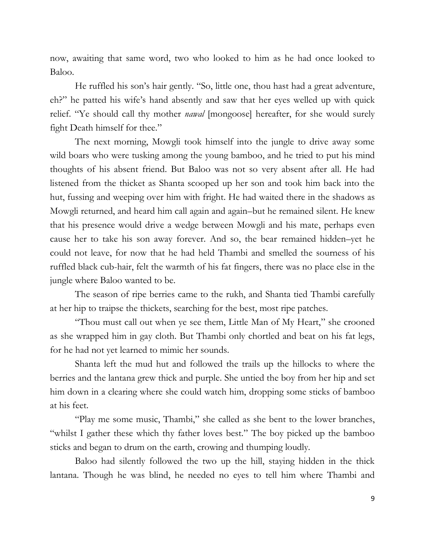now, awaiting that same word, two who looked to him as he had once looked to Baloo.

He ruffled his son's hair gently. "So, little one, thou hast had a great adventure, eh?" he patted his wife's hand absently and saw that her eyes welled up with quick relief. "Ye should call thy mother *nawal* [mongoose] hereafter, for she would surely fight Death himself for thee."

The next morning, Mowgli took himself into the jungle to drive away some wild boars who were tusking among the young bamboo, and he tried to put his mind thoughts of his absent friend. But Baloo was not so very absent after all. He had listened from the thicket as Shanta scooped up her son and took him back into the hut, fussing and weeping over him with fright. He had waited there in the shadows as Mowgli returned, and heard him call again and again–but he remained silent. He knew that his presence would drive a wedge between Mowgli and his mate, perhaps even cause her to take his son away forever. And so, the bear remained hidden–yet he could not leave, for now that he had held Thambi and smelled the sourness of his ruffled black cub-hair, felt the warmth of his fat fingers, there was no place else in the jungle where Baloo wanted to be.

The season of ripe berries came to the rukh, and Shanta tied Thambi carefully at her hip to traipse the thickets, searching for the best, most ripe patches.

"Thou must call out when ye see them, Little Man of My Heart," she crooned as she wrapped him in gay cloth. But Thambi only chortled and beat on his fat legs, for he had not yet learned to mimic her sounds.

Shanta left the mud hut and followed the trails up the hillocks to where the berries and the lantana grew thick and purple. She untied the boy from her hip and set him down in a clearing where she could watch him, dropping some sticks of bamboo at his feet.

"Play me some music, Thambi," she called as she bent to the lower branches, "whilst I gather these which thy father loves best." The boy picked up the bamboo sticks and began to drum on the earth, crowing and thumping loudly.

Baloo had silently followed the two up the hill, staying hidden in the thick lantana. Though he was blind, he needed no eyes to tell him where Thambi and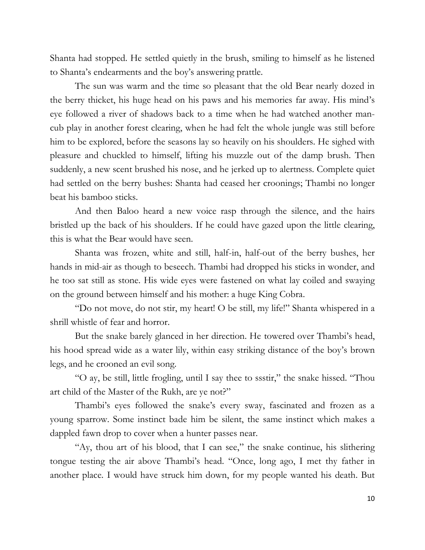Shanta had stopped. He settled quietly in the brush, smiling to himself as he listened to Shanta's endearments and the boy's answering prattle.

The sun was warm and the time so pleasant that the old Bear nearly dozed in the berry thicket, his huge head on his paws and his memories far away. His mind's eye followed a river of shadows back to a time when he had watched another mancub play in another forest clearing, when he had felt the whole jungle was still before him to be explored, before the seasons lay so heavily on his shoulders. He sighed with pleasure and chuckled to himself, lifting his muzzle out of the damp brush. Then suddenly, a new scent brushed his nose, and he jerked up to alertness. Complete quiet had settled on the berry bushes: Shanta had ceased her croonings; Thambi no longer beat his bamboo sticks.

And then Baloo heard a new voice rasp through the silence, and the hairs bristled up the back of his shoulders. If he could have gazed upon the little clearing, this is what the Bear would have seen.

Shanta was frozen, white and still, half-in, half-out of the berry bushes, her hands in mid-air as though to beseech. Thambi had dropped his sticks in wonder, and he too sat still as stone. His wide eyes were fastened on what lay coiled and swaying on the ground between himself and his mother: a huge King Cobra.

"Do not move, do not stir, my heart! O be still, my life!" Shanta whispered in a shrill whistle of fear and horror.

But the snake barely glanced in her direction. He towered over Thambi's head, his hood spread wide as a water lily, within easy striking distance of the boy's brown legs, and he crooned an evil song.

"O ay, be still, little frogling, until I say thee to ssstir," the snake hissed. "Thou art child of the Master of the Rukh, are ye not?"

Thambi's eyes followed the snake's every sway, fascinated and frozen as a young sparrow. Some instinct bade him be silent, the same instinct which makes a dappled fawn drop to cover when a hunter passes near.

"Ay, thou art of his blood, that I can see," the snake continue, his slithering tongue testing the air above Thambi's head. "Once, long ago, I met thy father in another place. I would have struck him down, for my people wanted his death. But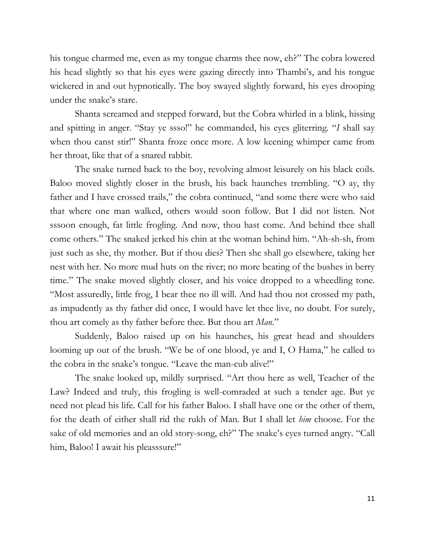his tongue charmed me, even as my tongue charms thee now, eh?" The cobra lowered his head slightly so that his eyes were gazing directly into Thambi's, and his tongue wickered in and out hypnotically. The boy swayed slightly forward, his eyes drooping under the snake's stare.

Shanta screamed and stepped forward, but the Cobra whirled in a blink, hissing and spitting in anger. "Stay ye ssso!" he commanded, his eyes gliterring. "*I* shall say when thou canst stir!" Shanta froze once more. A low keening whimper came from her throat, like that of a snared rabbit.

The snake turned back to the boy, revolving almost leisurely on his black coils. Baloo moved slightly closer in the brush, his back haunches trembling. "O ay, thy father and I have crossed trails," the cobra continued, "and some there were who said that where one man walked, others would soon follow. But I did not listen. Not sssoon enough, fat little frogling. And now, thou hast come. And behind thee shall come others." The snaked jerked his chin at the woman behind him. "Ah-sh-sh, from just such as she, thy mother. But if thou dies? Then she shall go elsewhere, taking her nest with her. No more mud huts on the river; no more beating of the bushes in berry time." The snake moved slightly closer, and his voice dropped to a wheedling tone. "Most assuredly, little frog, I bear thee no ill will. And had thou not crossed my path, as impudently as thy father did once, I would have let thee live, no doubt. For surely, thou art comely as thy father before thee. But thou art *Man*."

Suddenly, Baloo raised up on his haunches, his great head and shoulders looming up out of the brush. "We be of one blood, ye and I, O Hama," he called to the cobra in the snake's tongue. "Leave the man-cub alive!"

The snake looked up, mildly surprised. "Art thou here as well, Teacher of the Law? Indeed and truly, this frogling is well-comraded at such a tender age. But ye need not plead his life. Call for his father Baloo. I shall have one or the other of them, for the death of either shall rid the rukh of Man. But I shall let *him* choose. For the sake of old memories and an old story-song, eh?" The snake's eyes turned angry. "Call him, Baloo! I await his pleasssure!"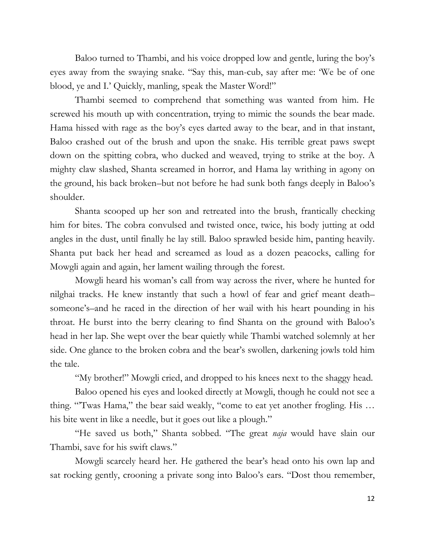Baloo turned to Thambi, and his voice dropped low and gentle, luring the boy's eyes away from the swaying snake. "Say this, man-cub, say after me: 'We be of one blood, ye and I.' Quickly, manling, speak the Master Word!"

Thambi seemed to comprehend that something was wanted from him. He screwed his mouth up with concentration, trying to mimic the sounds the bear made. Hama hissed with rage as the boy's eyes darted away to the bear, and in that instant, Baloo crashed out of the brush and upon the snake. His terrible great paws swept down on the spitting cobra, who ducked and weaved, trying to strike at the boy. A mighty claw slashed, Shanta screamed in horror, and Hama lay writhing in agony on the ground, his back broken–but not before he had sunk both fangs deeply in Baloo's shoulder.

Shanta scooped up her son and retreated into the brush, frantically checking him for bites. The cobra convulsed and twisted once, twice, his body jutting at odd angles in the dust, until finally he lay still. Baloo sprawled beside him, panting heavily. Shanta put back her head and screamed as loud as a dozen peacocks, calling for Mowgli again and again, her lament wailing through the forest.

Mowgli heard his woman's call from way across the river, where he hunted for nilghai tracks. He knew instantly that such a howl of fear and grief meant death– someone's–and he raced in the direction of her wail with his heart pounding in his throat. He burst into the berry clearing to find Shanta on the ground with Baloo's head in her lap. She wept over the bear quietly while Thambi watched solemnly at her side. One glance to the broken cobra and the bear's swollen, darkening jowls told him the tale.

"My brother!" Mowgli cried, and dropped to his knees next to the shaggy head.

Baloo opened his eyes and looked directly at Mowgli, though he could not see a thing. "'Twas Hama," the bear said weakly, "come to eat yet another frogling. His … his bite went in like a needle, but it goes out like a plough."

"He saved us both," Shanta sobbed. "The great *naja* would have slain our Thambi, save for his swift claws."

Mowgli scarcely heard her. He gathered the bear's head onto his own lap and sat rocking gently, crooning a private song into Baloo's ears. "Dost thou remember,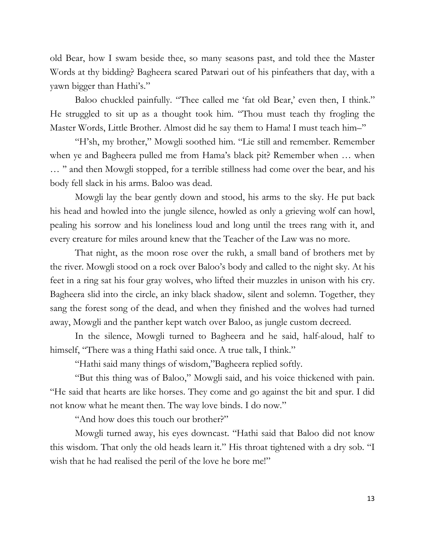old Bear, how I swam beside thee, so many seasons past, and told thee the Master Words at thy bidding? Bagheera scared Patwari out of his pinfeathers that day, with a yawn bigger than Hathi's."

Baloo chuckled painfully. "Thee called me 'fat old Bear,' even then, I think." He struggled to sit up as a thought took him. "Thou must teach thy frogling the Master Words, Little Brother. Almost did he say them to Hama! I must teach him–''

"H'sh, my brother," Mowgli soothed him. "Lie still and remember. Remember when ye and Bagheera pulled me from Hama's black pit? Remember when … when … '' and then Mowgli stopped, for a terrible stillness had come over the bear, and his body fell slack in his arms. Baloo was dead.

Mowgli lay the bear gently down and stood, his arms to the sky. He put back his head and howled into the jungle silence, howled as only a grieving wolf can howl, pealing his sorrow and his loneliness loud and long until the trees rang with it, and every creature for miles around knew that the Teacher of the Law was no more.

That night, as the moon rose over the rukh, a small band of brothers met by the river. Mowgli stood on a rock over Baloo's body and called to the night sky. At his feet in a ring sat his four gray wolves, who lifted their muzzles in unison with his cry. Bagheera slid into the circle, an inky black shadow, silent and solemn. Together, they sang the forest song of the dead, and when they finished and the wolves had turned away, Mowgli and the panther kept watch over Baloo, as jungle custom decreed.

In the silence, Mowgli turned to Bagheera and he said, half-aloud, half to himself, "There was a thing Hathi said once. A true talk, I think."

"Hathi said many things of wisdom,"Bagheera replied softly.

"But this thing was of Baloo," Mowgli said, and his voice thickened with pain. "He said that hearts are like horses. They come and go against the bit and spur. I did not know what he meant then. The way love binds. I do now."

"And how does this touch our brother?"

Mowgli turned away, his eyes downcast. "Hathi said that Baloo did not know this wisdom. That only the old heads learn it." His throat tightened with a dry sob. "I wish that he had realised the peril of the love he bore me!"